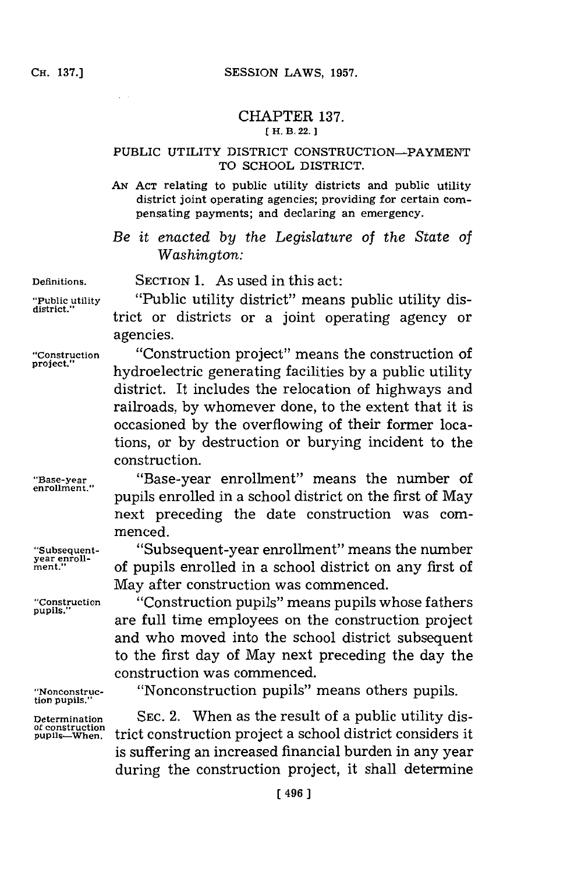## CHAPTER **137. [ H. B. 22.]1**

## PUBLIC UTILITY DISTRICT CONSTRUCTION-PAYMENT TO **SCHOOL** DISTRICT.

**AN ACT** relating to public utility districts and public utility district joint operating agencies; providing for certain compensating payments; and declaring an emergency.

*Be it enacted by the Legislature of the State of Washington:*

**Definitions.** SECTION **1.** As used in this act:

**"Public utility** "Public utility district" means public utility district or districts or a joint operating agency or agencies.

**"Construction** "Construction project" means the construction of **project,"** hydroelectric generating facilities **by** a public utility district. It includes the relocation of highways and railroads, **by** whomever done, to the extent that it is occasioned **by** the overflowing of their former locations, or **by** destruction or burying incident to the construction.

**year enroll-**

**tion pupils."**

**of construction**

**"Base-year** "Base-year enrollment" means the number of pupils enrolled in a school district on the first of May next preceding the date construction was commenced.

**"Subsequent-** "Subsequent-year enrollment" means the number **ment."** of pupils enrolled in a school district on any first of May after construction was commenced.

**"Construction** "Construction pupils" means pupils whose fathers are full time employees on the construction project and who moved into the school district subsequent to the first day of May next preceding the day the construction was commenced.

**"Nonconstruc-** "Nonconstruction pupils" means others pupils.

**Determination SEC.** 2. When as the result of a public utility dis**pupils-When .** trict construction project a school district considers it is suffering an increased financial burden in any year during the construction project, it shall determine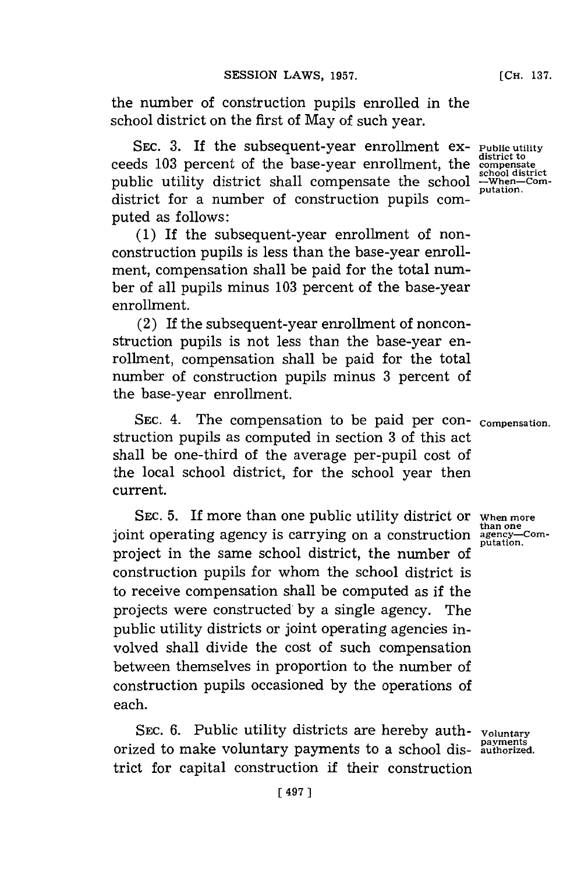**[CH. 137.**

the number of construction pupils enrolled in the school district on the first of May of such year.

SEC. 3. If the subsequent-year enrollment ex- **Public utility** ceeds **103** percent of the base-year enrollment, the **compensate** public utility district shall compensate the school  $\frac{\text{smooth}}{\text{pattern}}$ . district for a number of construction pupils computed as follows:

**(1)** If the subsequent-year enrollment of nonconstruction pupils is less than the base-year enrollment, compensation shall be paid for the total number of all pupils minus **103** percent of the base-year enrollment.

(2) If the subsequent-year enrollment of nonconstruction pupils is not less than the base-year enrollment, compensation shall be paid for the total number of construction pupils minus **3** percent of the base-year enrollment.

SEC. 4. The compensation to be paid per con- <sub>Compensation</sub> struction pupils as computed in section **3** of this act shall be one-third of the average per-pupil cost of the local school district, for the school year then current.

SEC. 5. If more than one public utility district or when more SEC. 5. If more than one public utility district or when more<br>joint operating agency is carrying on a construction  $\frac{\text{atan}}{\text{putation}}$ project in the same school district, the number of construction pupils for whom the school district is to receive compensation shall be computed as if the projects were constructed **by** a single agency. The public utility districts or joint operating agencies involved shall divide the cost of such compensation between themselves in proportion to the number of construction pupils occasioned **by** the operations of each.

SEC. **6.** Public utility districts are hereby auth- **voluntary payments** orized to make voluntary payments to a school dis- **authorized.** trict for capital construction if their construction